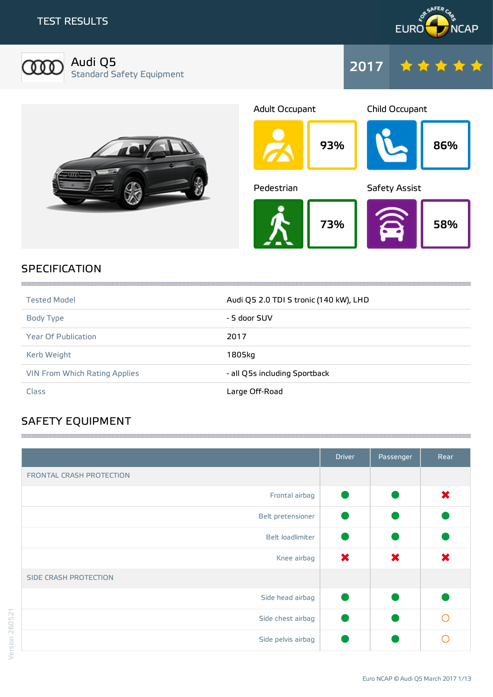



Audi Q5 Standard Safety Equipment







### SPECIFICATION

| <b>Tested Model</b>                  | Audi Q5 2.0 TDI S tronic (140 kW), LHD |
|--------------------------------------|----------------------------------------|
| Body Type                            | - 5 door SUV                           |
| <b>Year Of Publication</b>           | 2017                                   |
| Kerb Weight                          | 1805kg                                 |
| <b>VIN From Which Rating Applies</b> | - all Q5s including Sportback          |
| Class                                | Large Off-Road                         |

,我们的时候我们的时候,我们的时候我们的时候,我们的时候我们的时候,我们的时候我们的时候我们的时候,我们的时候我们的时候我们的时候我们的时候我们的时候我们的时候我

# SAFETY EQUIPMENT

|                          | <b>Driver</b> | Passenger | Rear |
|--------------------------|---------------|-----------|------|
| FRONTAL CRASH PROTECTION |               |           |      |
| Frontal airbag           | G             |           | ×    |
| Belt pretensioner        |               |           |      |
| Belt loadlimiter         |               |           |      |
| Knee airbag              | ×             | ×         | ×    |
| SIDE CRASH PROTECTION    |               |           |      |
| Side head airbag         |               |           |      |
| Side chest airbag        |               |           |      |
| Side pelvis airbag       |               |           |      |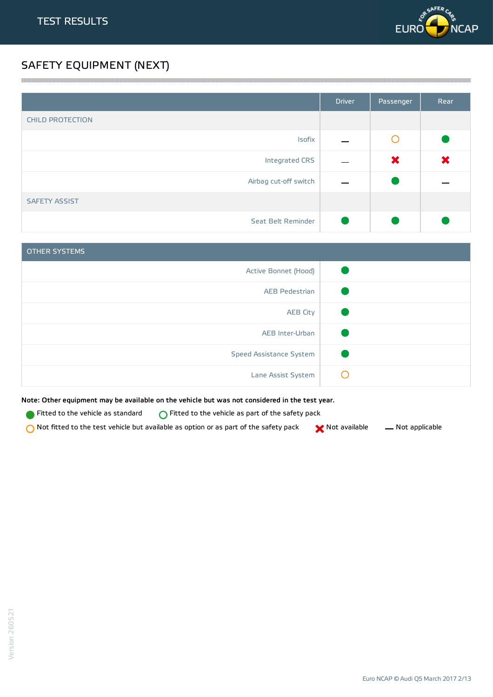

## SAFETY EQUIPMENT (NEXT)

|                         | <b>Driver</b> | Passenger       | Rear |
|-------------------------|---------------|-----------------|------|
| <b>CHILD PROTECTION</b> |               |                 |      |
| Isofix                  |               | $\left(\right)$ |      |
| Integrated CRS          |               | ×               | ×    |
| Airbag cut-off switch   |               |                 |      |
| <b>SAFETY ASSIST</b>    |               |                 |      |
| Seat Belt Reminder      |               |                 |      |

<u> 1989 - Andrea Stadt Stadt Stadt Stadt Stadt Stadt Stadt Stadt Stadt Stadt Stadt Stadt Stadt Stadt Stadt Stadt Stadt Stadt Stadt Stadt Stadt Stadt Stadt Stadt Stadt Stadt Stadt Stadt Stadt Stadt Stadt Stadt Stadt Stadt St</u>

| <b>OTHER SYSTEMS</b>    |  |
|-------------------------|--|
| Active Bonnet (Hood)    |  |
| <b>AEB Pedestrian</b>   |  |
| <b>AEB City</b>         |  |
| AEB Inter-Urban         |  |
| Speed Assistance System |  |
| Lane Assist System      |  |

Note: Other equipment may be available on the vehicle but was not considered in the test year.

**Fitted to the vehicle as standard**  $\bigcirc$  Fitted to the vehicle as part of the safety pack

 $\bigcirc$  Not fitted to the test vehicle but available as option or as part of the safety pack  $\bigcirc$  Not available  $\qquad$  Not applicable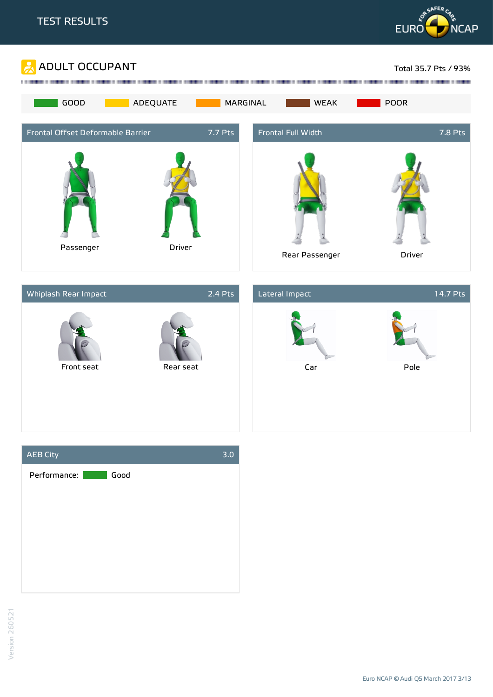





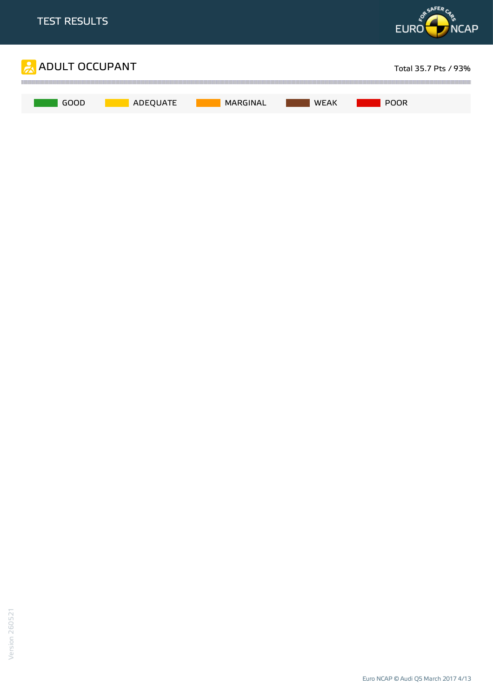

Euro NCAP © Audi Q5 March 2017 4/13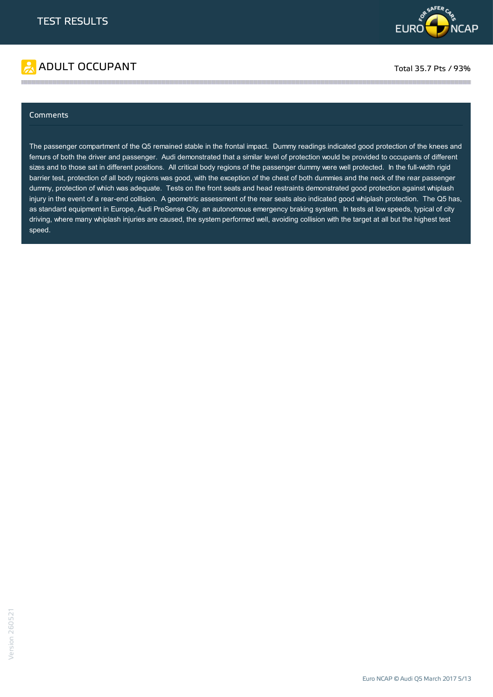

# ADULT OCCUPANT TO A RESERVE TO A RESERVE TO A RESERVE TOTAL TOTAL 35.7 Pts / 93%

#### **Comments**

The passenger compartment of the Q5 remained stable in the frontal impact. Dummy readings indicated good protection of the knees and femurs of both the driver and passenger. Audi demonstrated that a similar level of protection would be provided to occupants of different sizes and to those sat in different positions. All critical body regions of the passenger dummy were well protected. In the full-width rigid barrier test, protection of all body regions was good, with the exception of the chest of both dummies and the neck of the rear passenger dummy, protection of which was adequate. Tests on the front seats and head restraints demonstrated good protection against whiplash injury in the event of a rear-end collision. A geometric assessment of the rear seats also indicated good whiplash protection. The Q5 has, as standard equipment in Europe, Audi PreSense City, an autonomous emergency braking system. In tests at low speeds, typical of city driving, where many whiplash injuries are caused, the system performed well, avoiding collision with the target at all but the highest test speed.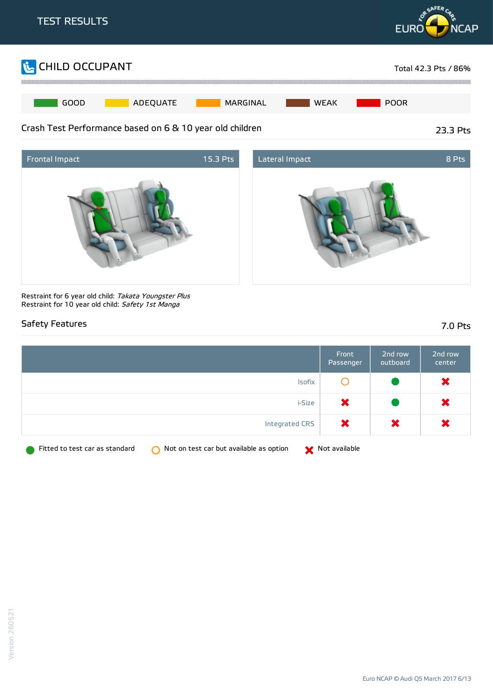





Restraint for 6 year old child: Takata Youngster Plus Restraint for 10 year old child: Safety 1st Manga

#### Safety Features 7.0 Pts

|                                                                           | Front<br>Passenger | 2nd row<br>outboard | 2nd row<br>center |
|---------------------------------------------------------------------------|--------------------|---------------------|-------------------|
| Isofix                                                                    |                    |                     | ×                 |
| i-Size                                                                    | ×                  |                     | $\bm{x}$          |
| Integrated CRS                                                            | ×                  | ×                   | ×                 |
| Fitted to test car as standard<br>Not on test car but available as option | Not available      |                     |                   |

Version 260521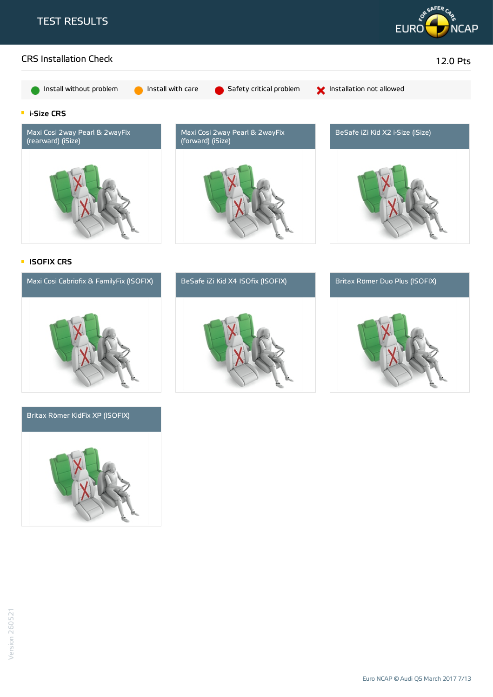





#### Britax Römer KidFix XP (ISOFIX)





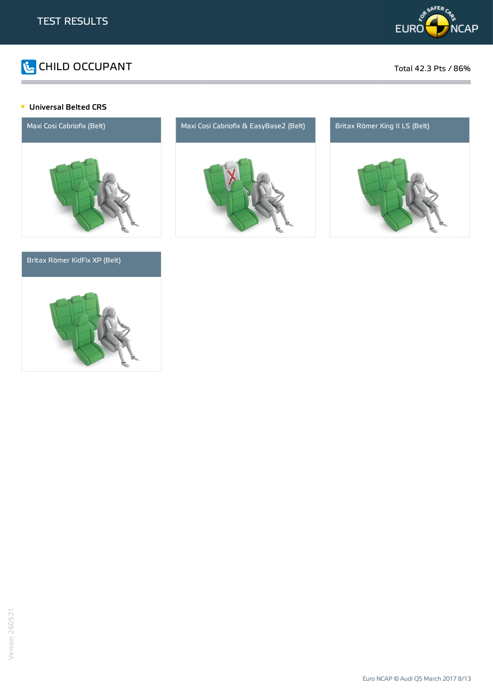

# CHILD OCCUPANT Total 42.3 Pts / 86%

#### **Universal Belted CRS**



#### Britax Römer KidFix XP (Belt)





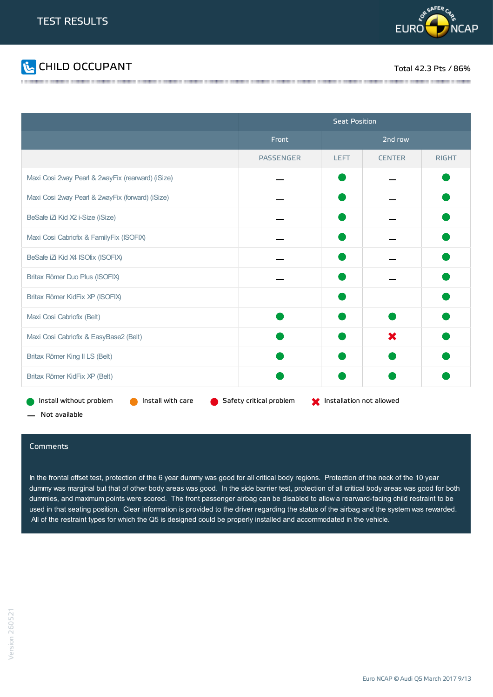



|                                                   | <b>Seat Position</b>    |                                |               |              |
|---------------------------------------------------|-------------------------|--------------------------------|---------------|--------------|
|                                                   | Front                   |                                | 2nd row       |              |
|                                                   | <b>PASSENGER</b>        | <b>LEFT</b>                    | <b>CENTER</b> | <b>RIGHT</b> |
| Maxi Cosi 2way Pearl & 2wayFix (rearward) (iSize) |                         |                                |               |              |
| Maxi Cosi 2way Pearl & 2wayFix (forward) (iSize)  |                         |                                |               |              |
| BeSafe iZi Kid X2 i-Size (iSize)                  |                         |                                |               |              |
| Maxi Cosi Cabriofix & FamilyFix (ISOFIX)          |                         |                                |               |              |
| BeSafe iZi Kid X4 ISOfix (ISOFIX)                 |                         |                                |               |              |
| Britax Römer Duo Plus (ISOFIX)                    |                         |                                |               |              |
| Britax Römer KidFix XP (ISOFIX)                   |                         |                                |               |              |
| Maxi Cosi Cabriofix (Belt)                        |                         |                                |               |              |
| Maxi Cosi Cabriofix & EasyBase2 (Belt)            |                         |                                | ×             |              |
| Britax Römer King II LS (Belt)                    |                         |                                |               |              |
| Britax Römer KidFix XP (Belt)                     |                         |                                |               |              |
| Install with care<br>Install without problem      | Safety critical problem | State Installation not allowed |               |              |

Not available

#### **Comments**

In the frontal offset test, protection of the 6 year dummy was good for all critical body regions. Protection of the neck of the 10 year dummy was marginal but that of other body areas was good. In the side barrier test, protection of all critical body areas was good for both dummies, and maximum points were scored. The front passenger airbag can be disabled to allow a rearward-facing child restraint to be used in that seating position. Clear information is provided to the driver regarding the status of the airbag and the system was rewarded. All of the restraint types for which the Q5 is designed could be properly installed and accommodated in the vehicle.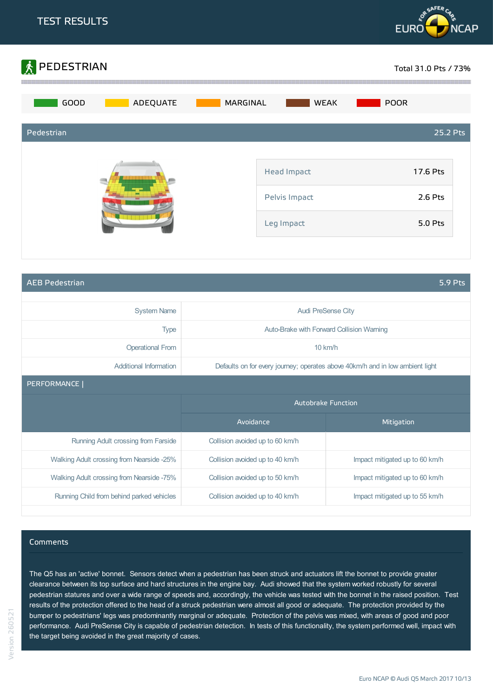



AEB Pedestrian 5.9 Pts

| <b>System Name</b>                        | <b>Audi PreSense City</b>                                                     |                                |  |
|-------------------------------------------|-------------------------------------------------------------------------------|--------------------------------|--|
| <b>Type</b>                               | Auto-Brake with Forward Collision Warning                                     |                                |  |
| <b>Operational From</b>                   | $10$ km/h                                                                     |                                |  |
| Additional Information                    | Defaults on for every journey; operates above 40km/h and in low ambient light |                                |  |
| PERFORMANCE                               |                                                                               |                                |  |
|                                           | <b>Autobrake Function</b>                                                     |                                |  |
|                                           | Avoidance                                                                     | Mitigation                     |  |
| Running Adult crossing from Farside       | Collision avoided up to 60 km/h                                               |                                |  |
| Walking Adult crossing from Nearside -25% | Collision avoided up to 40 km/h                                               | Impact mitigated up to 60 km/h |  |
|                                           |                                                                               |                                |  |
| Walking Adult crossing from Nearside -75% | Collision avoided up to 50 km/h                                               | Impact mitigated up to 60 km/h |  |

#### Comments

Version 260521

The Q5 has an 'active' bonnet. Sensors detect when a pedestrian has been struck and actuators lift the bonnet to provide greater clearance between its top surface and hard structures in the engine bay. Audi showed that the system worked robustly for several pedestrian statures and over a wide range of speeds and, accordingly, the vehicle was tested with the bonnet in the raised position. Test results of the protection offered to the head of a struck pedestrian were almost all good or adequate. The protection provided by the bumper to pedestrians' legs was predominantly marginal or adequate. Protection of the pelvis was mixed, with areas of good and poor performance. Audi PreSense City is capable of pedestrian detection. In tests of this functionality, the system performed well, impact with the target being avoided in the great majority of cases.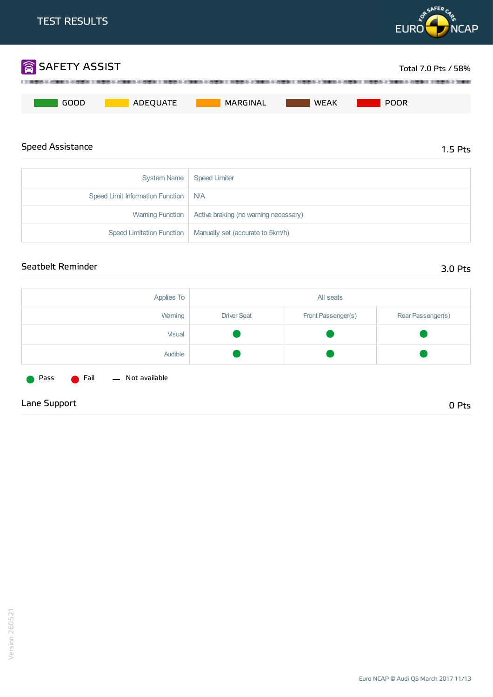

| Speed Liftlit information Function   IVA |                                                              |
|------------------------------------------|--------------------------------------------------------------|
|                                          | Warning Function   Active braking (no warning necessary)     |
|                                          | Speed Limitation Function   Manually set (accurate to 5km/h) |
|                                          |                                                              |

### Seatbelt Reminder 3.0 Pts

| Applies To                                        |                    | All seats          |                   |
|---------------------------------------------------|--------------------|--------------------|-------------------|
| Warning                                           | <b>Driver Seat</b> | Front Passenger(s) | Rear Passenger(s) |
| Visual                                            |                    |                    |                   |
| Audible                                           |                    |                    |                   |
| <b>C</b> Fail<br>- Not available<br><b>O</b> Pass |                    |                    |                   |
| Lane Support                                      |                    |                    | 0 Pts             |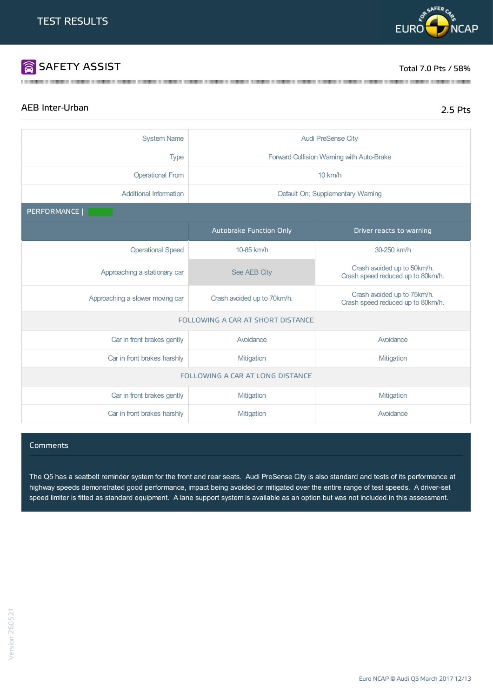

# **SAFETY ASSIST** Total 7.0 Pts / 58%

# AEB Inter-Urban 2.5 Pts

| <b>System Name</b>                       | <b>Audi PreSense City</b>   |                                                                  |  |  |
|------------------------------------------|-----------------------------|------------------------------------------------------------------|--|--|
| <b>Type</b>                              |                             | Forward Collision Warning with Auto-Brake                        |  |  |
| <b>Operational From</b>                  | 10 km/h                     |                                                                  |  |  |
| <b>Additional Information</b>            |                             | Default On; Supplementary Warning                                |  |  |
| PERFORMANCE                              |                             |                                                                  |  |  |
|                                          | Autobrake Function Only     | Driver reacts to warning                                         |  |  |
| <b>Operational Speed</b>                 | 10-85 km/h                  | 30-250 km/h                                                      |  |  |
| Approaching a stationary car             | See AEB City                | Crash avoided up to 50km/h.<br>Crash speed reduced up to 80km/h. |  |  |
| Approaching a slower moving car          | Crash avoided up to 70km/h. | Crash avoided up to 75km/h.<br>Crash speed reduced up to 80km/h. |  |  |
| <b>FOLLOWING A CAR AT SHORT DISTANCE</b> |                             |                                                                  |  |  |
| Car in front brakes gently               | Avoidance                   | Avoidance                                                        |  |  |
| Car in front brakes harshly              | Mitigation                  | Mitigation                                                       |  |  |
| FOLLOWING A CAR AT LONG DISTANCE         |                             |                                                                  |  |  |
| Car in front brakes gently               | Mitigation                  | Mitigation                                                       |  |  |
| Car in front brakes harshly              | Mitigation                  | Avoidance                                                        |  |  |

the contract of the contract of the contract of the contract of the contract of the contract of the contract of

#### Comments

The Q5 has a seatbelt reminder system for the front and rear seats. Audi PreSense City is also standard and tests of its performance at highway speeds demonstrated good performance, impact being avoided or mitigated over the entire range of test speeds. A driver-set speed limiter is fitted as standard equipment. A lane support system is available as an option but was not included in this assessment.